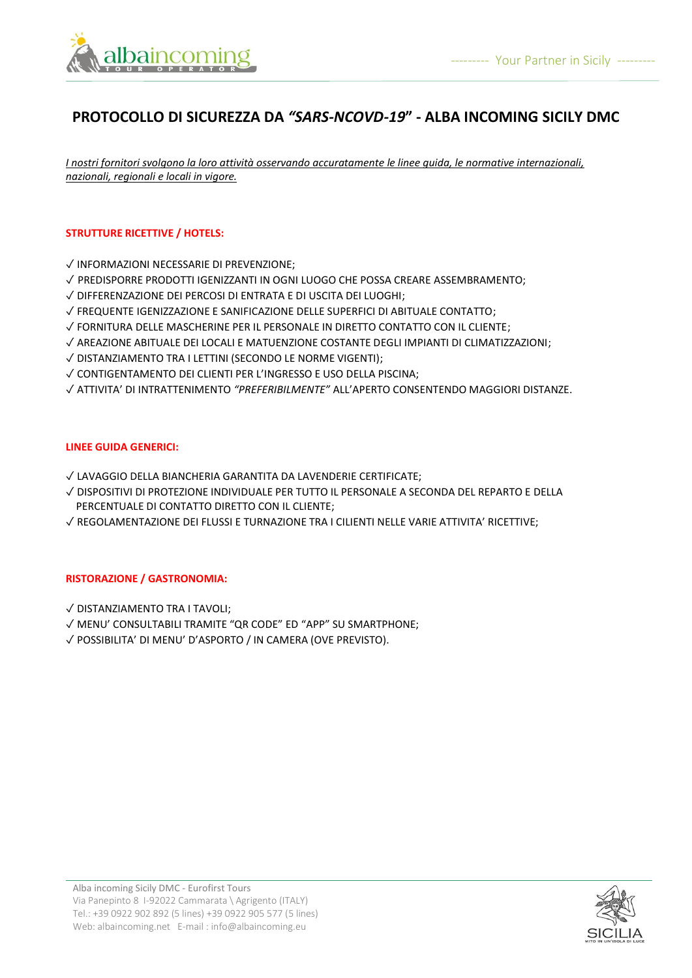

# **PROTOCOLLO DI SICUREZZA DA** *"SARS-NCOVD-19***" - ALBA INCOMING SICILY DMC**

*I nostri fornitori svolgono la loro attività osservando accuratamente le linee guida, le normative internazionali, nazionali, regionali e locali in vigore.*

## **STRUTTURE RICETTIVE / HOTELS:**

- ✓ INFORMAZIONI NECESSARIE DI PREVENZIONE;
- ✓ PREDISPORRE PRODOTTI IGENIZZANTI IN OGNI LUOGO CHE POSSA CREARE ASSEMBRAMENTO;
- ✓ DIFFERENZAZIONE DEI PERCOSI DI ENTRATA E DI USCITA DEI LUOGHI;
- ✓ FREQUENTE IGENIZZAZIONE E SANIFICAZIONE DELLE SUPERFICI DI ABITUALE CONTATTO;
- ✓ FORNITURA DELLE MASCHERINE PER IL PERSONALE IN DIRETTO CONTATTO CON IL CLIENTE;
- ✓ AREAZIONE ABITUALE DEI LOCALI E MATUENZIONE COSTANTE DEGLI IMPIANTI DI CLIMATIZZAZIONI;
- ✓ DISTANZIAMENTO TRA I LETTINI (SECONDO LE NORME VIGENTI);
- ✓ CONTIGENTAMENTO DEI CLIENTI PER L'INGRESSO E USO DELLA PISCINA;
- ✓ ATTIVITA' DI INTRATTENIMENTO *"PREFERIBILMENTE"* ALL'APERTO CONSENTENDO MAGGIORI DISTANZE.

## **LINEE GUIDA GENERICI:**

- ✓ LAVAGGIO DELLA BIANCHERIA GARANTITA DA LAVENDERIE CERTIFICATE;
- ✓ DISPOSITIVI DI PROTEZIONE INDIVIDUALE PER TUTTO IL PERSONALE A SECONDA DEL REPARTO E DELLA PERCENTUALE DI CONTATTO DIRETTO CON IL CLIENTE;
- ✓ REGOLAMENTAZIONE DEI FLUSSI E TURNAZIONE TRA I CILIENTI NELLE VARIE ATTIVITA' RICETTIVE;

## **RISTORAZIONE / GASTRONOMIA:**

- ✓ DISTANZIAMENTO TRA I TAVOLI;
- ✓ MENU' CONSULTABILI TRAMITE "QR CODE" ED "APP" SU SMARTPHONE;
- ✓ POSSIBILITA' DI MENU' D'ASPORTO / IN CAMERA (OVE PREVISTO).